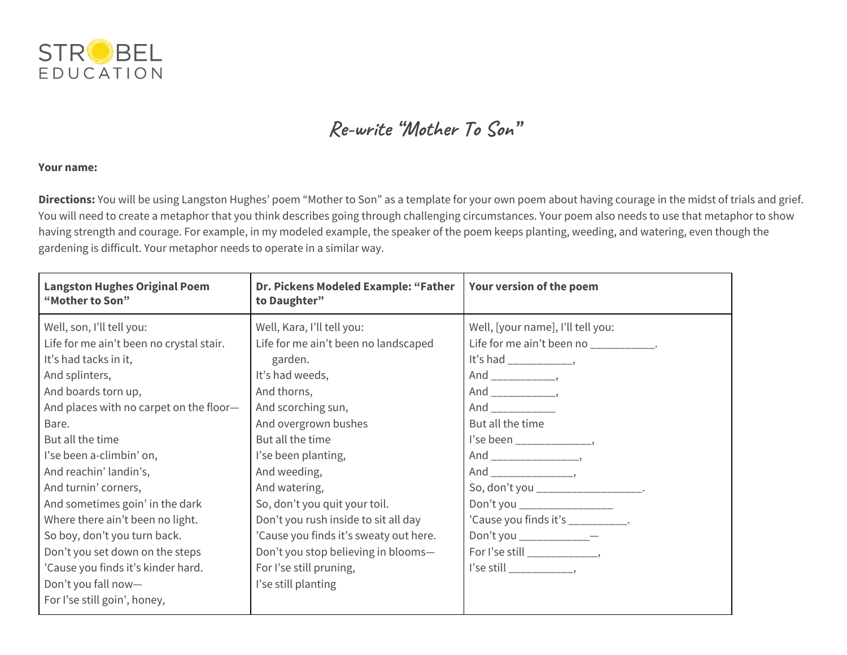

## **Re-write "Mother To Son "**

## **Your name:**

**Directions:** You will be using Langston Hughes' poem "Mother to Son" as a template for your own poem about having courage in the midst of trials and grief. You will need to create a metaphor that you think describes going through challenging circumstances. Your poem also needs to use that metaphor to show having strength and courage. For example, in my modeled example, the speaker of the poem keeps planting, weeding, and watering, even though the gardening is difficult. Your metaphor needs to operate in a similar way.

| <b>Langston Hughes Original Poem</b><br>"Mother to Son" | Dr. Pickens Modeled Example: "Father<br>to Daughter" | Your version of the poem              |
|---------------------------------------------------------|------------------------------------------------------|---------------------------------------|
| Well, son, I'll tell you:                               | Well, Kara, I'll tell you:                           | Well, [your name], I'll tell you:     |
| Life for me ain't been no crystal stair.                | Life for me ain't been no landscaped                 | Life for me ain't been no __________. |
| It's had tacks in it,                                   | garden.                                              | It's had _______________,             |
| And splinters,                                          | It's had weeds,                                      |                                       |
| And boards torn up,                                     | And thorns,                                          |                                       |
| And places with no carpet on the floor-                 | And scorching sun,                                   | And ____________                      |
| Bare.                                                   | And overgrown bushes                                 | But all the time                      |
| But all the time                                        | But all the time                                     | l'se been ________________,           |
| l'se been a-climbin' on,                                | I'se been planting,                                  |                                       |
| And reachin' landin's,                                  | And weeding,                                         |                                       |
| And turnin' corners,                                    | And watering,                                        | So, don't you ___________________.    |
| And sometimes goin' in the dark                         | So, don't you quit your toil.                        | Don't you _________________           |
| Where there ain't been no light.                        | Don't you rush inside to sit all day                 | 'Cause you finds it's ___________.    |
| So boy, don't you turn back.                            | 'Cause you finds it's sweaty out here.               | Don't you ______________              |
| Don't you set down on the steps                         | Don't you stop believing in blooms-                  | For I'se still ______________,        |
| 'Cause you finds it's kinder hard.                      | For I'se still pruning,                              |                                       |
| Don't you fall now-                                     | I'se still planting                                  |                                       |
| For I'se still goin', honey,                            |                                                      |                                       |
|                                                         |                                                      |                                       |